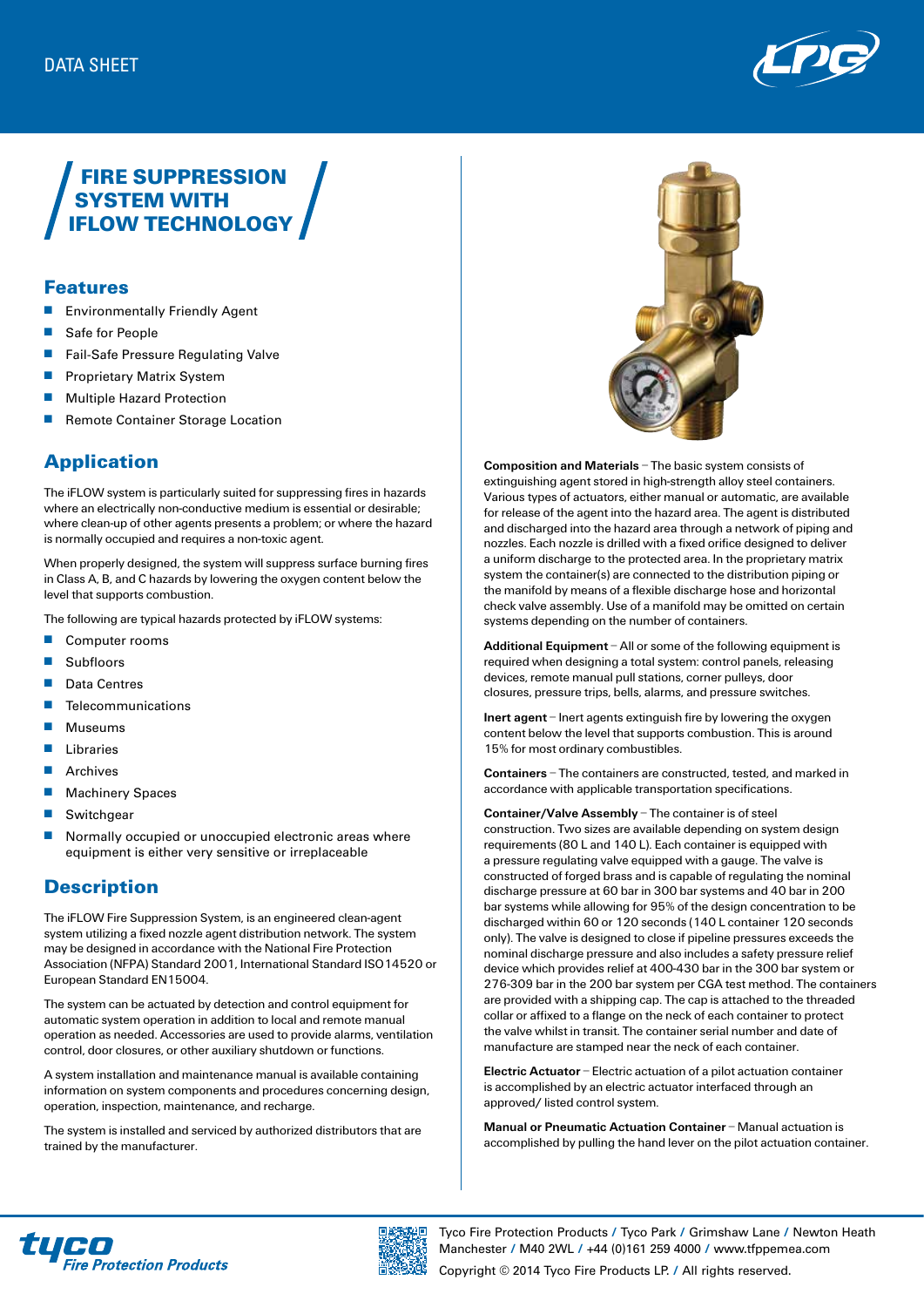

# FIRE SUPPRESSION SYSTEM WITH IFLOW TECHNOLOGY

#### Features

- **Environmentally Friendly Agent**
- Safe for People
- Fail-Safe Pressure Regulating Valve
- **n** Proprietary Matrix System
- **n** Multiple Hazard Protection
- Remote Container Storage Location

## Application

The iFLOW system is particularly suited for suppressing fires in hazards where an electrically non-conductive medium is essential or desirable; where clean-up of other agents presents a problem; or where the hazard is normally occupied and requires a non-toxic agent.

When properly designed, the system will suppress surface burning fires in Class A, B, and C hazards by lowering the oxygen content below the level that supports combustion.

The following are typical hazards protected by iFLOW systems:

- **n** Computer rooms
- Subfloors
- Data Centres
- **n** Telecommunications
- $\blacksquare$  Museums
- $\blacksquare$  Libraries
- **n** Archives
- **Nachinery Spaces**
- $\blacksquare$  Switchgear
- $\blacksquare$  Normally occupied or unoccupied electronic areas where equipment is either very sensitive or irreplaceable

### **Description**

The iFLOW Fire Suppression System, is an engineered clean-agent system utilizing a fixed nozzle agent distribution network. The system may be designed in accordance with the National Fire Protection Association (NFPA) Standard 2001, International Standard ISO14520 or European Standard EN15004.

The system can be actuated by detection and control equipment for automatic system operation in addition to local and remote manual operation as needed. Accessories are used to provide alarms, ventilation control, door closures, or other auxiliary shutdown or functions.

A system installation and maintenance manual is available containing information on system components and procedures concerning design, operation, inspection, maintenance, and recharge.

The system is installed and serviced by authorized distributors that are trained by the manufacturer.



**Composition and Materials** – The basic system consists of extinguishing agent stored in high-strength alloy steel containers. Various types of actuators, either manual or automatic, are available for release of the agent into the hazard area. The agent is distributed and discharged into the hazard area through a network of piping and nozzles. Each nozzle is drilled with a fixed orifice designed to deliver a uniform discharge to the protected area. In the proprietary matrix system the container(s) are connected to the distribution piping or the manifold by means of a flexible discharge hose and horizontal check valve assembly. Use of a manifold may be omitted on certain systems depending on the number of containers.

**Additional Equipment** – All or some of the following equipment is required when designing a total system: control panels, releasing devices, remote manual pull stations, corner pulleys, door closures, pressure trips, bells, alarms, and pressure switches.

**Inert agent** – Inert agents extinguish fire by lowering the oxygen content below the level that supports combustion. This is around 15% for most ordinary combustibles.

**Containers** – The containers are constructed, tested, and marked in accordance with applicable transportation specifications.

**Container/Valve Assembly** – The container is of steel construction. Two sizes are available depending on system design requirements (80 L and 140 L). Each container is equipped with a pressure regulating valve equipped with a gauge. The valve is constructed of forged brass and is capable of regulating the nominal discharge pressure at 60 bar in 300 bar systems and 40 bar in 200 bar systems while allowing for 95% of the design concentration to be discharged within 60 or 120 seconds (140 L container 120 seconds only). The valve is designed to close if pipeline pressures exceeds the nominal discharge pressure and also includes a safety pressure relief device which provides relief at 400-430 bar in the 300 bar system or 276-309 bar in the 200 bar system per CGA test method. The containers are provided with a shipping cap. The cap is attached to the threaded collar or affixed to a flange on the neck of each container to protect the valve whilst in transit. The container serial number and date of manufacture are stamped near the neck of each container.

**Electric Actuator** – Electric actuation of a pilot actuation container is accomplished by an electric actuator interfaced through an approved/ listed control system.

**Manual or Pneumatic Actuation Container** – Manual actuation is accomplished by pulling the hand lever on the pilot actuation container.





Tyco Fire Protection Products **/** Tyco Park **/** Grimshaw Lane **/** Newton Heath Manchester **/** M40 2WL **/** +44 (0)161 259 4000 **/** www.tfppemea.com

Copyright © 2014 Tyco Fire Products LP. **/** All rights reserved.